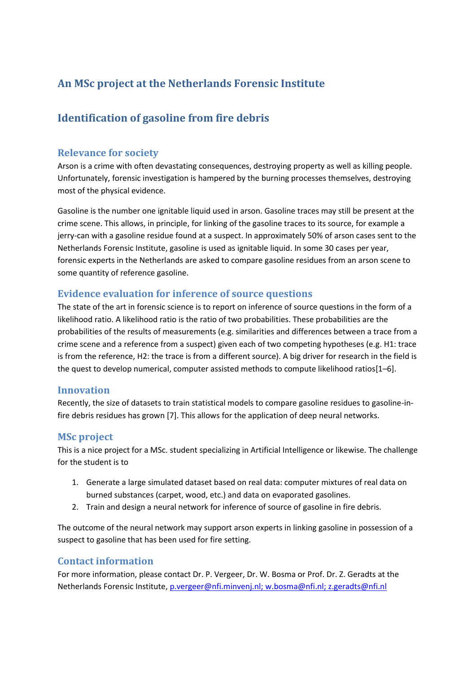# **An MSc project at the Netherlands Forensic Institute**

# **Identification of gasoline from fire debris**

### **Relevance for society**

Arson is a crime with often devastating consequences, destroying property as well as killing people. Unfortunately, forensic investigation is hampered by the burning processes themselves, destroying most of the physical evidence.

Gasoline is the number one ignitable liquid used in arson. Gasoline traces may still be present at the crime scene. This allows, in principle, for linking of the gasoline traces to its source, for example a jerry-can with a gasoline residue found at a suspect. In approximately 50% of arson cases sent to the Netherlands Forensic Institute, gasoline is used as ignitable liquid. In some 30 cases per year, forensic experts in the Netherlands are asked to compare gasoline residues from an arson scene to some quantity of reference gasoline.

### **Evidence evaluation for inference of source questions**

The state of the art in forensic science is to report on inference of source questions in the form of a likelihood ratio. A likelihood ratio is the ratio of two probabilities. These probabilities are the probabilities of the results of measurements (e.g. similarities and differences between a trace from a crime scene and a reference from a suspect) given each of two competing hypotheses (e.g. H1: trace is from the reference, H2: the trace is from a different source). A big driver for research in the field is the quest to develop numerical, computer assisted methods to compute likelihood ratios[1–6].

#### **Innovation**

Recently, the size of datasets to train statistical models to compare gasoline residues to gasoline-infire debris residues has grown [7]. This allows for the application of deep neural networks.

#### **MSc project**

This is a nice project for a MSc. student specializing in Artificial Intelligence or likewise. The challenge for the student is to

- 1. Generate a large simulated dataset based on real data: computer mixtures of real data on burned substances (carpet, wood, etc.) and data on evaporated gasolines.
- 2. Train and design a neural network for inference of source of gasoline in fire debris.

The outcome of the neural network may support arson experts in linking gasoline in possession of a suspect to gasoline that has been used for fire setting.

#### **Contact information**

For more information, please contact Dr. P. Vergeer, Dr. W. Bosma or Prof. Dr. Z. Geradts at the Netherlands Forensic Institute, [p.vergeer@nfi.minvenj.nl;](mailto:p.vergeer@nfi.minvenj.nl) [w.bosma@nfi.nl;](mailto:w.bosma@nfi.nl) z.geradts@nfi.nl